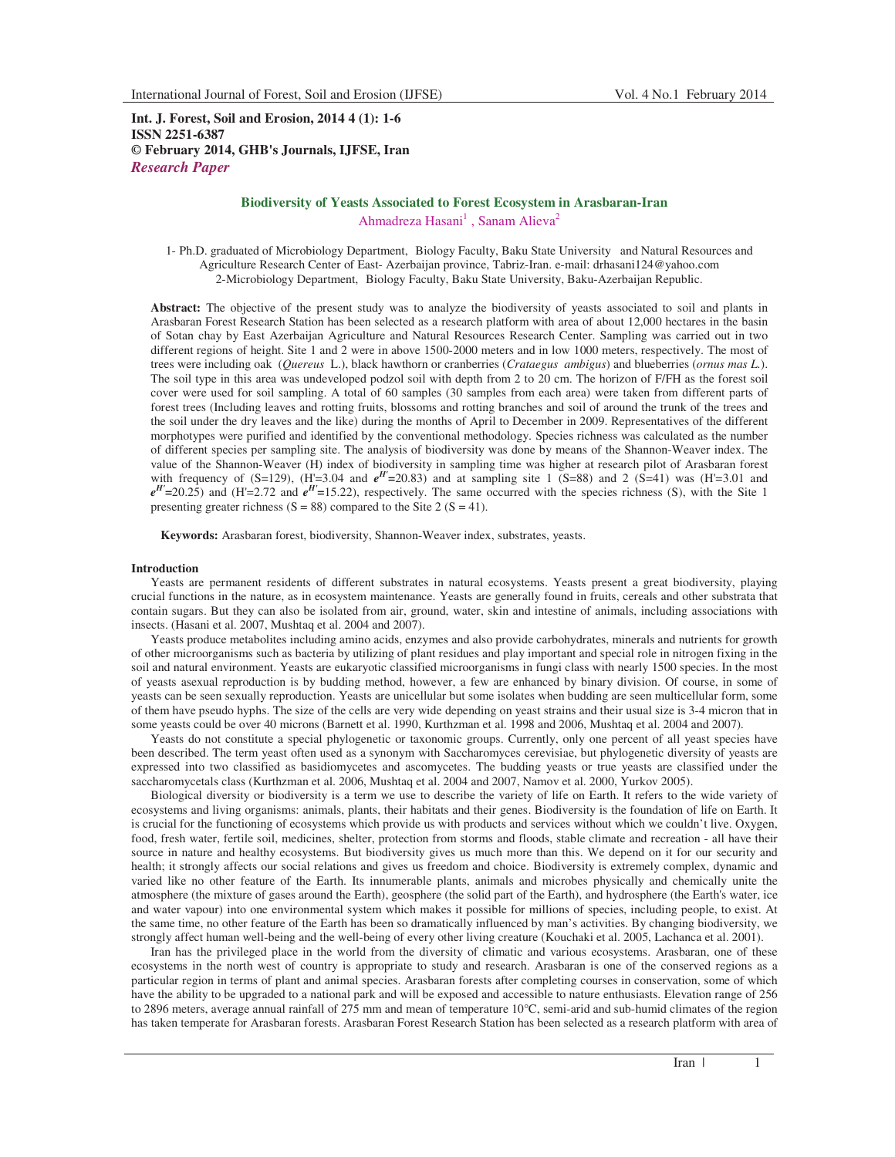**Int. J. Forest, Soil and Erosion, 2014 4 (1): 1-6 ISSN 2251-6387 © February 2014, GHB's Journals, IJFSE, Iran** *Research Paper*

# **Biodiversity of Yeasts Associated to Forest Ecosystem in Arasbaran-Iran**  Ahmadreza Hasani<sup>1</sup>, Sanam Alieva<sup>2</sup>

1- Ph.D. graduated of Microbiology Department, Biology Faculty, Baku State University and Natural Resources and Agriculture Research Center of East- Azerbaijan province, Tabriz-Iran. e-mail: drhasani124@yahoo.com 2-Microbiology Department, Biology Faculty, Baku State University, Baku-Azerbaijan Republic.

**Abstract:** The objective of the present study was to analyze the biodiversity of yeasts associated to soil and plants in Arasbaran Forest Research Station has been selected as a research platform with area of about 12,000 hectares in the basin of Sotan chay by East Azerbaijan Agriculture and Natural Resources Research Center. Sampling was carried out in two different regions of height. Site 1 and 2 were in above 1500-2000 meters and in low 1000 meters, respectively. The most of trees were including oak (*Quereus* L.), black hawthorn or cranberries (*Crataegus ambigus*) and blueberries (*ornus mas L.*). The soil type in this area was undeveloped podzol soil with depth from 2 to 20 cm. The horizon of F/FH as the forest soil cover were used for soil sampling. A total of 60 samples (30 samples from each area) were taken from different parts of forest trees (Including leaves and rotting fruits, blossoms and rotting branches and soil of around the trunk of the trees and the soil under the dry leaves and the like) during the months of April to December in 2009. Representatives of the different morphotypes were purified and identified by the conventional methodology. Species richness was calculated as the number of different species per sampling site. The analysis of biodiversity was done by means of the Shannon-Weaver index. The value of the Shannon-Weaver (H) index of biodiversity in sampling time was higher at research pilot of Arasbaran forest with frequency of  $(S=129)$ ,  $(H=3.04$  and  $e^{H}=20.83)$  and at sampling site 1  $(S=88)$  and 2  $(S=41)$  was  $(H=3.01$  and  $e^{H'}=20.25$ ) and (H'=2.72 and  $e^{H'}=15.22$ ), respectively. The same occurred with the species richness (S), with the Site 1 presenting greater richness  $(S = 88)$  compared to the Site 2  $(S = 41)$ .

**Keywords:** Arasbaran forest, biodiversity, Shannon-Weaver index, substrates, yeasts.

### **Introduction**

Yeasts are permanent residents of different substrates in natural ecosystems. Yeasts present a great biodiversity, playing crucial functions in the nature, as in ecosystem maintenance. Yeasts are generally found in fruits, cereals and other substrata that contain sugars. But they can also be isolated from air, ground, water, skin and intestine of animals, including associations with insects. (Hasani et al. 2007, Mushtaq et al. 2004 and 2007).

Yeasts produce metabolites including amino acids, enzymes and also provide carbohydrates, minerals and nutrients for growth of other microorganisms such as bacteria by utilizing of plant residues and play important and special role in nitrogen fixing in the soil and natural environment. Yeasts are eukaryotic classified microorganisms in fungi class with nearly 1500 species. In the most of yeasts asexual reproduction is by budding method, however, a few are enhanced by binary division. Of course, in some of yeasts can be seen sexually reproduction. Yeasts are unicellular but some isolates when budding are seen multicellular form, some of them have pseudo hyphs. The size of the cells are very wide depending on yeast strains and their usual size is 3-4 micron that in some yeasts could be over 40 microns (Barnett et al. 1990, Kurthzman et al. 1998 and 2006, Mushtaq et al. 2004 and 2007).

Yeasts do not constitute a special phylogenetic or taxonomic groups. Currently, only one percent of all yeast species have been described. The term yeast often used as a synonym with Saccharomyces cerevisiae, but phylogenetic diversity of yeasts are expressed into two classified as basidiomycetes and ascomycetes. The budding yeasts or true yeasts are classified under the saccharomycetals class (Kurthzman et al. 2006, Mushtaq et al. 2004 and 2007, Namov et al. 2000, Yurkov 2005).

Biological diversity or biodiversity is a term we use to describe the variety of life on Earth. It refers to the wide variety of ecosystems and living organisms: animals, plants, their habitats and their genes. Biodiversity is the foundation of life on Earth. It is crucial for the functioning of ecosystems which provide us with products and services without which we couldn't live. Oxygen, food, fresh water, fertile soil, medicines, shelter, protection from storms and floods, stable climate and recreation - all have their source in nature and healthy ecosystems. But biodiversity gives us much more than this. We depend on it for our security and health; it strongly affects our social relations and gives us freedom and choice. Biodiversity is extremely complex, dynamic and varied like no other feature of the Earth. Its innumerable plants, animals and microbes physically and chemically unite the atmosphere (the mixture of gases around the Earth), geosphere (the solid part of the Earth), and hydrosphere (the Earth's water, ice and water vapour) into one environmental system which makes it possible for millions of species, including people, to exist. At the same time, no other feature of the Earth has been so dramatically influenced by man's activities. By changing biodiversity, we strongly affect human well-being and the well-being of every other living creature (Kouchaki et al. 2005, Lachanca et al. 2001).

Iran has the privileged place in the world from the diversity of climatic and various ecosystems. Arasbaran, one of these ecosystems in the north west of country is appropriate to study and research. Arasbaran is one of the conserved regions as a particular region in terms of plant and animal species. Arasbaran forests after completing courses in conservation, some of which have the ability to be upgraded to a national park and will be exposed and accessible to nature enthusiasts. Elevation range of 256 to 2896 meters, average annual rainfall of 275 mm and mean of temperature 10°C, semi-arid and sub-humid climates of the region has taken temperate for Arasbaran forests. Arasbaran Forest Research Station has been selected as a research platform with area of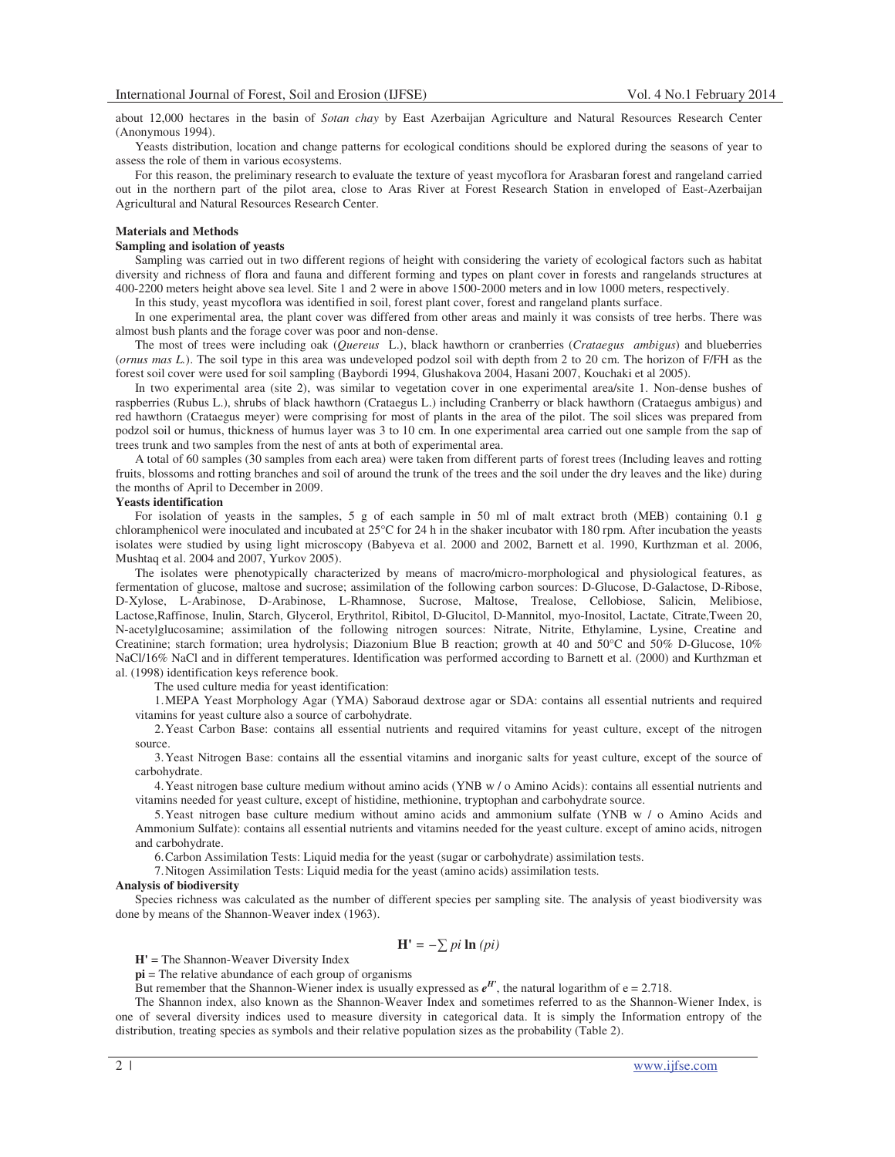about 12,000 hectares in the basin of *Sotan chay* by East Azerbaijan Agriculture and Natural Resources Research Center (Anonymous 1994).

Yeasts distribution, location and change patterns for ecological conditions should be explored during the seasons of year to assess the role of them in various ecosystems.

For this reason, the preliminary research to evaluate the texture of yeast mycoflora for Arasbaran forest and rangeland carried out in the northern part of the pilot area, close to Aras River at Forest Research Station in enveloped of East-Azerbaijan Agricultural and Natural Resources Research Center.

### **Materials and Methods**

### **Sampling and isolation of yeasts**

Sampling was carried out in two different regions of height with considering the variety of ecological factors such as habitat diversity and richness of flora and fauna and different forming and types on plant cover in forests and rangelands structures at 400-2200 meters height above sea level. Site 1 and 2 were in above 1500-2000 meters and in low 1000 meters, respectively.

In this study, yeast mycoflora was identified in soil, forest plant cover, forest and rangeland plants surface.

In one experimental area, the plant cover was differed from other areas and mainly it was consists of tree herbs. There was almost bush plants and the forage cover was poor and non-dense.

The most of trees were including oak (*Quereus* L.), black hawthorn or cranberries (*Crataegus ambigus*) and blueberries (*ornus mas L.*). The soil type in this area was undeveloped podzol soil with depth from 2 to 20 cm. The horizon of F/FH as the forest soil cover were used for soil sampling (Baybordi 1994, Glushakova 2004, Hasani 2007, Kouchaki et al 2005).

In two experimental area (site 2), was similar to vegetation cover in one experimental area/site 1. Non-dense bushes of raspberries (Rubus L.), shrubs of black hawthorn (Crataegus L.) including Cranberry or black hawthorn (Crataegus ambigus) and red hawthorn (Crataegus meyer) were comprising for most of plants in the area of the pilot. The soil slices was prepared from podzol soil or humus, thickness of humus layer was 3 to 10 cm. In one experimental area carried out one sample from the sap of trees trunk and two samples from the nest of ants at both of experimental area.

A total of 60 samples (30 samples from each area) were taken from different parts of forest trees (Including leaves and rotting fruits, blossoms and rotting branches and soil of around the trunk of the trees and the soil under the dry leaves and the like) during the months of April to December in 2009.

### **Yeasts identification**

For isolation of yeasts in the samples, 5 g of each sample in 50 ml of malt extract broth (MEB) containing 0.1 g chloramphenicol were inoculated and incubated at 25°C for 24 h in the shaker incubator with 180 rpm. After incubation the yeasts isolates were studied by using light microscopy (Babyeva et al. 2000 and 2002, Barnett et al. 1990, Kurthzman et al. 2006, Mushtaq et al. 2004 and 2007, Yurkov 2005).

The isolates were phenotypically characterized by means of macro/micro-morphological and physiological features, as fermentation of glucose, maltose and sucrose; assimilation of the following carbon sources: D-Glucose, D-Galactose, D-Ribose, D-Xylose, L-Arabinose, D-Arabinose, L-Rhamnose, Sucrose, Maltose, Trealose, Cellobiose, Salicin, Melibiose, Lactose,Raffinose, Inulin, Starch, Glycerol, Erythritol, Ribitol, D-Glucitol, D-Mannitol, myo-Inositol, Lactate, Citrate,Tween 20, N-acetylglucosamine; assimilation of the following nitrogen sources: Nitrate, Nitrite, Ethylamine, Lysine, Creatine and Creatinine; starch formation; urea hydrolysis; Diazonium Blue B reaction; growth at 40 and 50°C and 50% D-Glucose, 10% NaCl/16% NaCl and in different temperatures. Identification was performed according to Barnett et al. (2000) and Kurthzman et al. (1998) identification keys reference book.

The used culture media for yeast identification:

1.MEPA Yeast Morphology Agar (YMA) Saboraud dextrose agar or SDA: contains all essential nutrients and required vitamins for yeast culture also a source of carbohydrate.

2.Yeast Carbon Base: contains all essential nutrients and required vitamins for yeast culture, except of the nitrogen source.

3.Yeast Nitrogen Base: contains all the essential vitamins and inorganic salts for yeast culture, except of the source of carbohydrate.

4.Yeast nitrogen base culture medium without amino acids (YNB w / o Amino Acids): contains all essential nutrients and vitamins needed for yeast culture, except of histidine, methionine, tryptophan and carbohydrate source.

5.Yeast nitrogen base culture medium without amino acids and ammonium sulfate (YNB w / o Amino Acids and Ammonium Sulfate): contains all essential nutrients and vitamins needed for the yeast culture. except of amino acids, nitrogen and carbohydrate.

6.Carbon Assimilation Tests: Liquid media for the yeast (sugar or carbohydrate) assimilation tests.

7.Nitogen Assimilation Tests: Liquid media for the yeast (amino acids) assimilation tests.

#### **Analysis of biodiversity**

Species richness was calculated as the number of different species per sampling site. The analysis of yeast biodiversity was done by means of the Shannon-Weaver index (1963).

## $H' = -\sum pi \ln (pi)$

**H'** = The Shannon-Weaver Diversity Index

**pi** = The relative abundance of each group of organisms

But remember that the Shannon-Wiener index is usually expressed as  $e^{H'}$ , the natural logarithm of  $e = 2.718$ .

The Shannon index, also known as the Shannon-Weaver Index and sometimes referred to as the Shannon-Wiener Index, is one of several diversity indices used to measure diversity in categorical data. It is simply the Information entropy of the distribution, treating species as symbols and their relative population sizes as the probability (Table 2).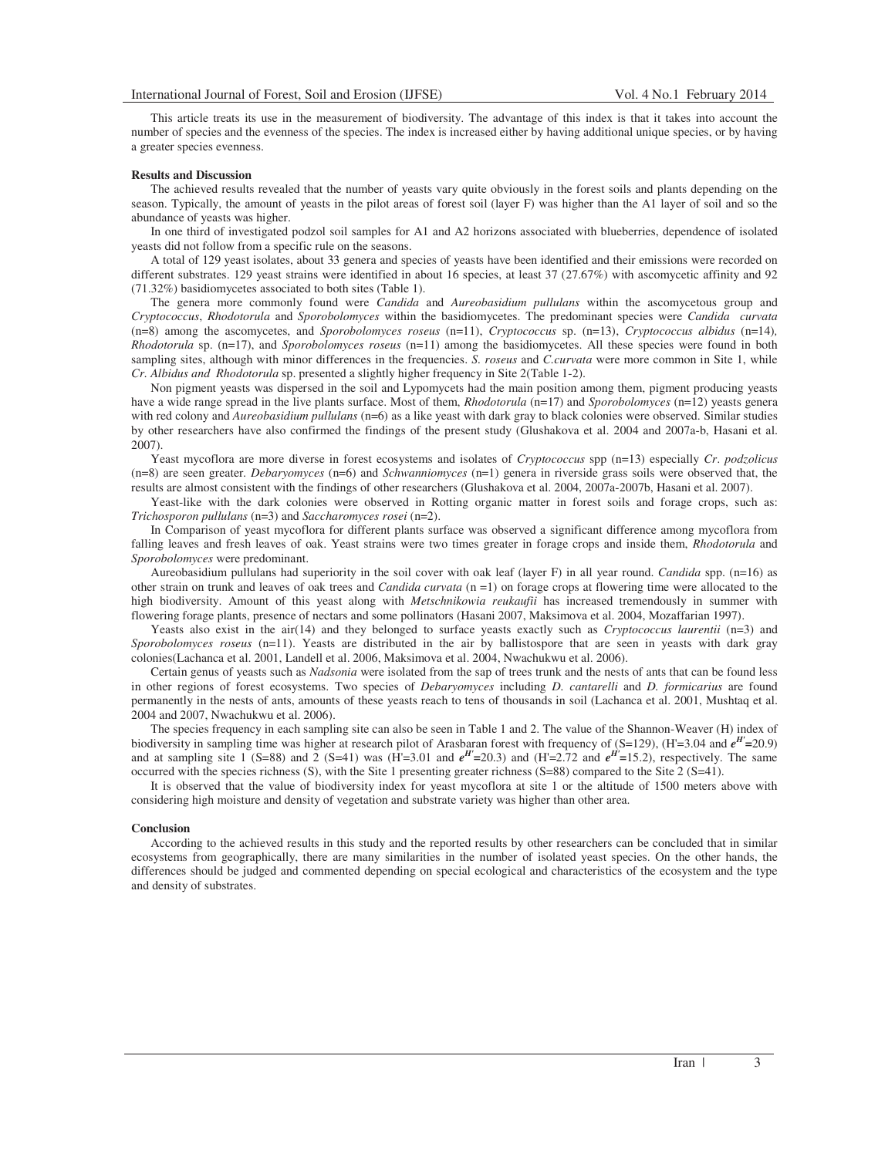This article treats its use in the measurement of biodiversity. The advantage of this index is that it takes into account the number of species and the evenness of the species. The index is increased either by having additional unique species, or by having a greater species evenness.

### **Results and Discussion**

The achieved results revealed that the number of yeasts vary quite obviously in the forest soils and plants depending on the season. Typically, the amount of yeasts in the pilot areas of forest soil (layer F) was higher than the A1 layer of soil and so the abundance of yeasts was higher.

In one third of investigated podzol soil samples for A1 and A2 horizons associated with blueberries, dependence of isolated yeasts did not follow from a specific rule on the seasons.

A total of 129 yeast isolates, about 33 genera and species of yeasts have been identified and their emissions were recorded on different substrates. 129 yeast strains were identified in about 16 species, at least 37 (27.67%) with ascomycetic affinity and 92 (71.32%) basidiomycetes associated to both sites (Table 1).

The genera more commonly found were *Candida* and *Aureobasidium pullulans* within the ascomycetous group and *Cryptococcus*, *Rhodotorula* and *Sporobolomyces* within the basidiomycetes. The predominant species were *Candida curvata* (n=8) among the ascomycetes, and *Sporobolomyces roseus* (n=11), *Cryptococcus* sp. (n=13), *Cryptococcus albidus* (n=14)*, Rhodotorula* sp. (n=17), and *Sporobolomyces roseus* (n=11) among the basidiomycetes. All these species were found in both sampling sites, although with minor differences in the frequencies. *S. roseus* and *C.curvata* were more common in Site 1, while *Cr. Albidus and Rhodotorula* sp. presented a slightly higher frequency in Site 2(Table 1-2).

Non pigment yeasts was dispersed in the soil and Lypomycets had the main position among them, pigment producing yeasts have a wide range spread in the live plants surface. Most of them, *Rhodotorula* (n=17) and *Sporobolomyces* (n=12) yeasts genera with red colony and *Aureobasidium pullulans* (n=6) as a like yeast with dark gray to black colonies were observed. Similar studies by other researchers have also confirmed the findings of the present study (Glushakova et al. 2004 and 2007a-b, Hasani et al. 2007).

Yeast mycoflora are more diverse in forest ecosystems and isolates of *Cryptococcus* spp (n=13) especially *Cr*. *podzolicus* (n=8) are seen greater. *Debaryomyces* (n=6) and *Schwanniomyces* (n=1) genera in riverside grass soils were observed that, the results are almost consistent with the findings of other researchers (Glushakova et al. 2004, 2007a-2007b, Hasani et al. 2007).

Yeast-like with the dark colonies were observed in Rotting organic matter in forest soils and forage crops, such as: *Trichosporon pullulans* (n=3) and *Saccharomyces rosei* (n=2).

In Comparison of yeast mycoflora for different plants surface was observed a significant difference among mycoflora from falling leaves and fresh leaves of oak. Yeast strains were two times greater in forage crops and inside them, *Rhodotorula* and *Sporobolomyces* were predominant.

Aureobasidium pullulans had superiority in the soil cover with oak leaf (layer F) in all year round. *Candida* spp. (n=16) as other strain on trunk and leaves of oak trees and *Candida curvata* (n =1) on forage crops at flowering time were allocated to the high biodiversity. Amount of this yeast along with *Metschnikowia reukaufii* has increased tremendously in summer with flowering forage plants, presence of nectars and some pollinators (Hasani 2007, Maksimova et al. 2004, Mozaffarian 1997).

Yeasts also exist in the air(14) and they belonged to surface yeasts exactly such as *Cryptococcus laurentii* (n=3) and *Sporobolomyces roseus* (n=11). Yeasts are distributed in the air by ballistospore that are seen in yeasts with dark gray colonies(Lachanca et al. 2001, Landell et al. 2006, Maksimova et al. 2004, Nwachukwu et al. 2006).

Certain genus of yeasts such as *Nadsonia* were isolated from the sap of trees trunk and the nests of ants that can be found less in other regions of forest ecosystems. Two species of *Debaryomyces* including *D. cantarelli* and *D. formicarius* are found permanently in the nests of ants, amounts of these yeasts reach to tens of thousands in soil (Lachanca et al. 2001, Mushtaq et al. 2004 and 2007, Nwachukwu et al. 2006).

The species frequency in each sampling site can also be seen in Table 1 and 2. The value of the Shannon-Weaver (H) index of biodiversity in sampling time was higher at research pilot of Arasbaran forest with frequency of  $(S=129)$ ,  $(H=3.04$  and  $e^{H'}=20.9)$ and at sampling site 1 (S=88) and 2 (S=41) was (H'=3.01 and  $e^{H'}=20.3$ ) and (H'=2.72 and  $e^{H'}=15.2$ ), respectively. The same occurred with the species richness (S), with the Site 1 presenting greater richness (S=88) compared to the Site 2 (S=41).

It is observed that the value of biodiversity index for yeast mycoflora at site 1 or the altitude of 1500 meters above with considering high moisture and density of vegetation and substrate variety was higher than other area.

#### **Conclusion**

According to the achieved results in this study and the reported results by other researchers can be concluded that in similar ecosystems from geographically, there are many similarities in the number of isolated yeast species. On the other hands, the differences should be judged and commented depending on special ecological and characteristics of the ecosystem and the type and density of substrates.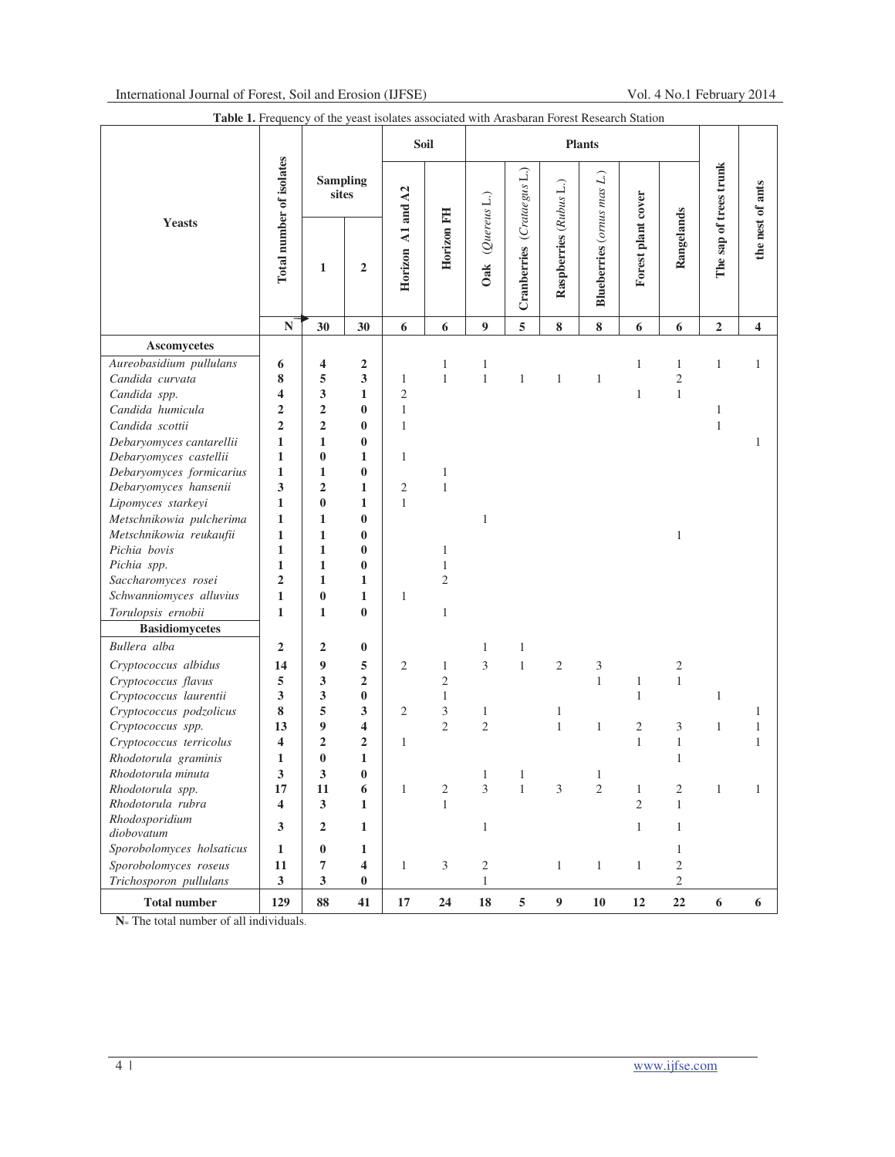|                              | $\frac{1}{2}$<br>Total number of isolates | $01 \text{ me}$<br><b>Sampling</b><br>sites |                  | Soil              |                         | <b>Plants</b>       |                            |                        |                            |                    |                  |                        |                         |
|------------------------------|-------------------------------------------|---------------------------------------------|------------------|-------------------|-------------------------|---------------------|----------------------------|------------------------|----------------------------|--------------------|------------------|------------------------|-------------------------|
| <b>Yeasts</b>                |                                           |                                             |                  |                   |                         |                     |                            |                        |                            |                    |                  |                        |                         |
|                              |                                           | $\mathbf{1}$                                | $\mathbf 2$      | Horizon A1 and A2 | Horizon FH              | (Quereus L.)<br>Oak | Cranberries (Crataegus L.) | Raspberries (Rubus L.) | Blueberries (ornus mas L.) | Forest plant cover | Rangelands       | The sap of trees trunk | the nest of ants        |
|                              | $\mathbf N$                               | 30                                          | 30               | 6                 | 6                       | 9                   | 5                          | 8                      | 8                          | 6                  | 6                | $\overline{2}$         | $\overline{\mathbf{4}}$ |
| Ascomycetes                  |                                           |                                             |                  |                   |                         |                     |                            |                        |                            |                    |                  |                        |                         |
| Aureobasidium pullulans      | 6                                         | 4                                           | $\boldsymbol{2}$ |                   | $\mathbf{1}$            | $\mathbf{1}$        |                            |                        |                            | $\mathbf{1}$       | 1                | $\mathbf{1}$           | $\mathbf{1}$            |
| Candida curvata              | 8                                         | 5                                           | 3                | $\mathbf{1}$      | $\mathbf{1}$            | $\,1$               | $\mathbf{1}$               | $\mathbf{1}$           | $\mathbf{1}$               |                    | $\overline{c}$   |                        |                         |
| Candida spp.                 | 4                                         | 3                                           | $\mathbf{1}$     | $\overline{c}$    |                         |                     |                            |                        |                            | $\mathbf{1}$       | $\mathbf{1}$     |                        |                         |
| Candida humicula             | $\overline{2}$                            | $\boldsymbol{2}$                            | $\bf{0}$         | $\mathbf{1}$      |                         |                     |                            |                        |                            |                    |                  | $\,1$                  |                         |
| Candida scottii              | $\overline{2}$                            | $\boldsymbol{2}$                            | $\bf{0}$         | $\mathbf{1}$      |                         |                     |                            |                        |                            |                    |                  | $\mathbf{1}$           |                         |
| Debaryomyces cantarellii     | $\mathbf{1}$                              | $\mathbf{1}$                                | $\bf{0}$         |                   |                         |                     |                            |                        |                            |                    |                  |                        | 1                       |
| Debaryomyces castellii       | 1                                         | $\bf{0}$                                    | 1                | $\mathbf{1}$      |                         |                     |                            |                        |                            |                    |                  |                        |                         |
| Debaryomyces formicarius     | $\mathbf{1}$                              | $\mathbf{1}$                                | $\bf{0}$         |                   | $\mathbf{1}$            |                     |                            |                        |                            |                    |                  |                        |                         |
| Debaryomyces hansenii        | 3                                         | $\overline{2}$                              | 1                | $\mathfrak{2}$    | $\mathbf{1}$            |                     |                            |                        |                            |                    |                  |                        |                         |
| Lipomyces starkeyi           | $\mathbf{1}$                              | $\bf{0}$                                    | $\mathbf{1}$     | $\mathbf{1}$      |                         |                     |                            |                        |                            |                    |                  |                        |                         |
| Metschnikowia pulcherima     | $\mathbf{1}$                              | $\mathbf{1}$                                | $\bf{0}$         |                   |                         | $\mathbf{1}$        |                            |                        |                            |                    |                  |                        |                         |
| Metschnikowia reukaufii      | $\mathbf{1}$                              | $\mathbf{1}$                                | $\bf{0}$         |                   |                         |                     |                            |                        |                            |                    | $\mathbf{1}$     |                        |                         |
| Pichia bovis                 | $\mathbf{1}$                              | $\mathbf{1}$                                | $\bf{0}$         |                   | $\mathbf{1}$            |                     |                            |                        |                            |                    |                  |                        |                         |
| Pichia spp.                  | $\mathbf{1}$                              | $\mathbf{1}$                                | $\bf{0}$         |                   | $\mathbf{1}$            |                     |                            |                        |                            |                    |                  |                        |                         |
| Saccharomyces rosei          | $\overline{2}$                            | $\mathbf{1}$                                | 1                |                   | $\overline{c}$          |                     |                            |                        |                            |                    |                  |                        |                         |
| Schwanniomyces alluvius      | $\mathbf{1}$                              | $\bf{0}$                                    | 1                | $\mathbf{1}$      |                         |                     |                            |                        |                            |                    |                  |                        |                         |
| Torulopsis ernobii           | $\mathbf{1}$                              | $\mathbf{1}$                                | $\bf{0}$         |                   | $\mathbf{1}$            |                     |                            |                        |                            |                    |                  |                        |                         |
| <b>Basidiomycetes</b>        |                                           |                                             |                  |                   |                         |                     |                            |                        |                            |                    |                  |                        |                         |
| Bullera alba                 | $\overline{2}$                            | $\mathbf 2$                                 | $\bf{0}$         |                   |                         | $\mathbf{1}$        | $\mathbf{1}$               |                        |                            |                    |                  |                        |                         |
| Cryptococcus albidus         | 14                                        | $\boldsymbol{9}$                            | 5                | $\mathfrak{2}$    | 1                       | 3                   | $\,1\,$                    | $\mathfrak{2}$         | 3                          |                    | $\boldsymbol{2}$ |                        |                         |
| Cryptococcus flavus          | 5                                         | 3                                           | $\overline{2}$   |                   | $\overline{2}$          |                     |                            |                        | $\mathbf{1}$               | $\mathbf{1}$       | $\,1\,$          |                        |                         |
| Cryptococcus laurentii       | 3                                         | 3                                           | $\bf{0}$         |                   | $\mathbf{1}$            |                     |                            |                        |                            | $\mathbf{1}$       |                  | $\mathbf{1}$           |                         |
| Cryptococcus podzolicus      | 8                                         | 5                                           | 3                | $\overline{c}$    | 3                       | $\mathbf{1}$        |                            | 1                      |                            |                    |                  |                        | 1                       |
| Cryptococcus spp.            | 13                                        | 9                                           | 4                |                   | $\overline{c}$          | $\mathbf{2}$        |                            | $\mathbf{1}$           | $\mathbf{1}$               | 2                  | 3                | $\mathbf{1}$           | $\mathbf{1}$            |
| Cryptococcus terricolus      | $\overline{\mathbf{4}}$                   | $\boldsymbol{2}$                            | $\overline{2}$   | $\mathbf{1}$      |                         |                     |                            |                        |                            | $\mathbf{1}$       | $\,1\,$          |                        | $\mathbf{1}$            |
| Rhodotorula graminis         | $\mathbf{1}$                              | $\bf{0}$                                    | $\mathbf{1}$     |                   |                         |                     |                            |                        |                            |                    | 1                |                        |                         |
| Rhodotorula minuta           | 3                                         | 3                                           | $\bf{0}$         |                   |                         | 1                   | 1                          |                        | 1                          |                    |                  |                        |                         |
| Rhodotorula spp.             | 17                                        | 11                                          | 6                | $\mathbf{1}$      | $\overline{\mathbf{c}}$ | 3                   | $\mathbf{1}$               | $\mathfrak{Z}$         | $\mathfrak{2}$             | $\mathbf{1}$       | $\sqrt{2}$       | $\,1$                  | $\mathbf{1}$            |
| Rhodotorula rubra            | $\overline{\mathbf{4}}$                   | 3                                           | $\mathbf{1}$     |                   | $\mathbf{1}$            |                     |                            |                        |                            | $\overline{c}$     | $\mathbf{1}$     |                        |                         |
| Rhodosporidium<br>diobovatum | 3                                         | $\overline{2}$                              | $\mathbf{1}$     |                   |                         | $\,1$               |                            |                        |                            | $\mathbf{1}$       | $\mathbf{1}$     |                        |                         |
| Sporobolomyces holsaticus    | $\mathbf{1}$                              | $\pmb{0}$                                   | 1                |                   |                         |                     |                            |                        |                            |                    | $\mathbf{1}$     |                        |                         |
| Sporobolomyces roseus        | 11                                        | $\overline{\mathbf{7}}$                     | 4                | $\mathbf{1}$      | $\mathfrak{Z}$          | $\overline{c}$      |                            | $\mathbf{1}$           | $\mathbf{1}$               | $\mathbf{1}$       | $\sqrt{2}$       |                        |                         |
| Trichosporon pullulans       | $\mathbf{3}$                              | $\mathbf{3}$                                | $\bf{0}$         |                   |                         | $\mathbf{1}$        |                            |                        |                            |                    | $\mathbf{2}$     |                        |                         |
| <b>Total number</b>          | 129                                       | 88                                          | 41               | $17\,$            | ${\bf 24}$              | ${\bf 18}$          | $\sqrt{5}$                 | $\boldsymbol{9}$       | ${\bf 10}$                 | 12                 | $\bf{22}$        | $\bf 6$                | 6                       |

**N**= The total number of all individuals.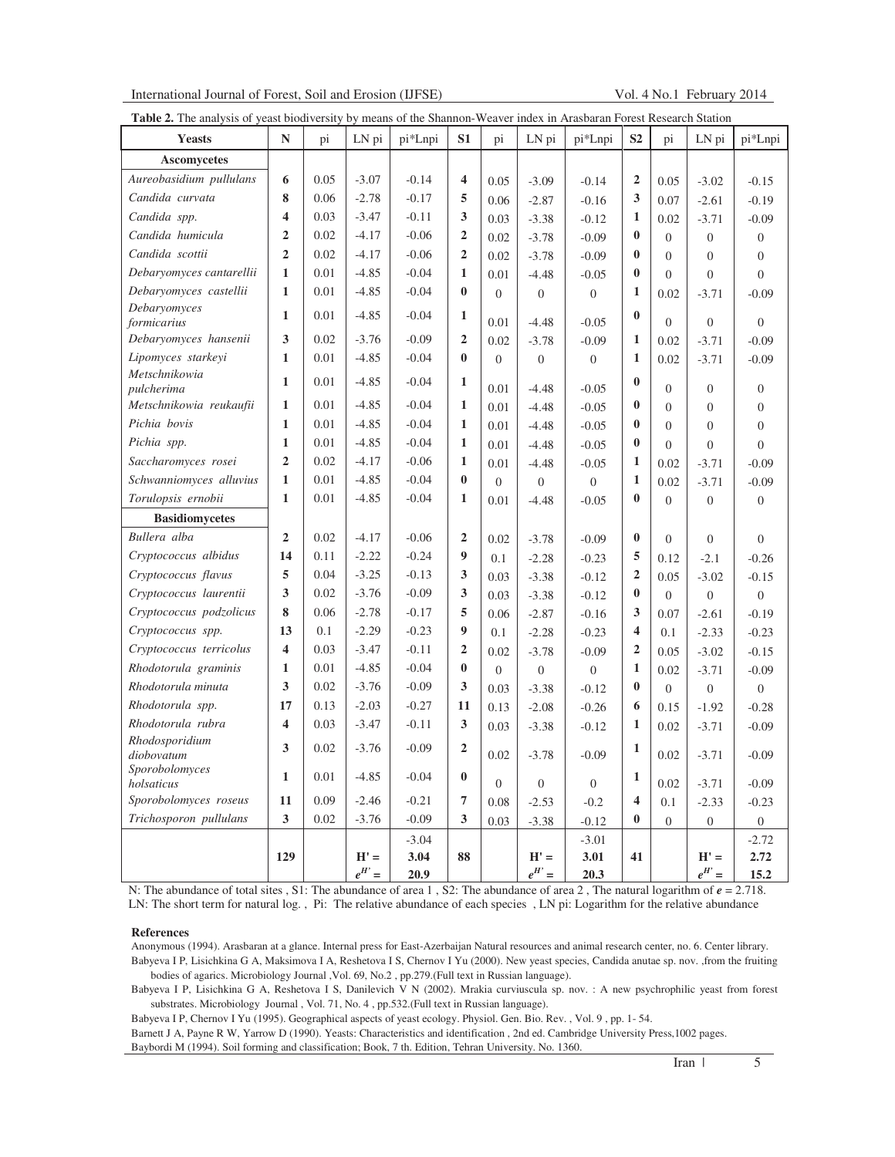| International Journal of Forest, Soil and Erosion (IJFSE) |  |  |  |  |  |  |
|-----------------------------------------------------------|--|--|--|--|--|--|
|-----------------------------------------------------------|--|--|--|--|--|--|

Vol. 4 No.1 February 2014

|                              | <b>Table 2.</b> The analysis of yeast biodiversity by means of the Shannon-Weaver index in Arasbaran Forest Research Station |      |                      |              |                         |                  |                      |                  |                         |                |                      |                  |
|------------------------------|------------------------------------------------------------------------------------------------------------------------------|------|----------------------|--------------|-------------------------|------------------|----------------------|------------------|-------------------------|----------------|----------------------|------------------|
| <b>Yeasts</b>                | $\mathbb{N}$                                                                                                                 | pi   | LN pi                | pi*Lnpi      | S1                      | pi               | LN pi                | pi*Lnpi          | S <sub>2</sub>          | pi             | LN pi                | pi*Lnpi          |
| <b>Ascomycetes</b>           |                                                                                                                              |      |                      |              |                         |                  |                      |                  |                         |                |                      |                  |
| Aureobasidium pullulans      | 6                                                                                                                            | 0.05 | $-3.07$              | $-0.14$      | $\overline{\mathbf{4}}$ | 0.05             | $-3.09$              | $-0.14$          | $\overline{2}$          | 0.05           | $-3.02$              | $-0.15$          |
| Candida curvata              | 8                                                                                                                            | 0.06 | $-2.78$              | $-0.17$      | 5                       | 0.06             | $-2.87$              | $-0.16$          | 3                       | 0.07           | $-2.61$              | $-0.19$          |
| Candida spp.                 | $\overline{\mathbf{4}}$                                                                                                      | 0.03 | $-3.47$              | $-0.11$      | 3                       | 0.03             | $-3.38$              | $-0.12$          | 1                       | 0.02           | $-3.71$              | $-0.09$          |
| Candida humicula             | $\overline{2}$                                                                                                               | 0.02 | $-4.17$              | $-0.06$      | $\boldsymbol{2}$        | 0.02             | $-3.78$              | $-0.09$          | $\bf{0}$                | $\Omega$       | $\theta$             | $\boldsymbol{0}$ |
| Candida scottii              | $\overline{2}$                                                                                                               | 0.02 | $-4.17$              | $-0.06$      | $\overline{2}$          | 0.02             | $-3.78$              | $-0.09$          | $\bf{0}$                | $\Omega$       | $\theta$             | $\theta$         |
| Debaryomyces cantarellii     | $\mathbf{1}$                                                                                                                 | 0.01 | $-4.85$              | $-0.04$      | $\mathbf{1}$            | 0.01             | $-4.48$              | $-0.05$          | $\mathbf{0}$            | $\theta$       | $\theta$             | $\overline{0}$   |
| Debaryomyces castellii       | $\mathbf{1}$                                                                                                                 | 0.01 | $-4.85$              | $-0.04$      | $\bf{0}$                | $\boldsymbol{0}$ | $\boldsymbol{0}$     | $\theta$         | 1                       | 0.02           | $-3.71$              | $-0.09$          |
| Debaryomyces<br>formicarius  | $\mathbf{1}$                                                                                                                 | 0.01 | $-4.85$              | $-0.04$      | $\mathbf{1}$            | 0.01             | $-4.48$              | $-0.05$          | $\bf{0}$                | $\theta$       | $\overline{0}$       | $\theta$         |
| Debaryomyces hansenii        | 3                                                                                                                            | 0.02 | $-3.76$              | $-0.09$      | $\overline{2}$          | 0.02             | $-3.78$              | $-0.09$          | 1                       | 0.02           | $-3.71$              | $-0.09$          |
| Lipomyces starkeyi           | 1                                                                                                                            | 0.01 | $-4.85$              | $-0.04$      | $\bf{0}$                | $\boldsymbol{0}$ | $\mathbf{0}$         | $\boldsymbol{0}$ | 1                       | 0.02           | $-3.71$              | $-0.09$          |
| Metschnikowia<br>pulcherima  | $\mathbf{1}$                                                                                                                 | 0.01 | $-4.85$              | $-0.04$      | $\mathbf{1}$            | 0.01             | $-4.48$              | $-0.05$          | $\bf{0}$                | $\theta$       | $\theta$             | $\overline{0}$   |
| Metschnikowia reukaufii      | 1                                                                                                                            | 0.01 | $-4.85$              | $-0.04$      | $\mathbf{1}$            | 0.01             | $-4.48$              | $-0.05$          | $\mathbf{0}$            | $\Omega$       | $\theta$             | $\mathbf{0}$     |
| Pichia bovis                 | 1                                                                                                                            | 0.01 | $-4.85$              | $-0.04$      | 1                       | 0.01             | $-4.48$              | $-0.05$          | $\mathbf{0}$            | $\theta$       | $\theta$             | $\overline{0}$   |
| Pichia spp.                  | $\mathbf{1}$                                                                                                                 | 0.01 | $-4.85$              | $-0.04$      | 1                       | 0.01             | $-4.48$              | $-0.05$          | $\bf{0}$                | $\theta$       | $\Omega$             | $\overline{0}$   |
| Saccharomyces rosei          | $\overline{2}$                                                                                                               | 0.02 | $-4.17$              | $-0.06$      | 1                       | 0.01             | $-4.48$              | $-0.05$          | 1                       | 0.02           | $-3.71$              | $-0.09$          |
| Schwanniomyces alluvius      | $\mathbf{1}$                                                                                                                 | 0.01 | $-4.85$              | $-0.04$      | $\bf{0}$                | $\overline{0}$   | $\overline{0}$       | $\overline{0}$   | 1                       | 0.02           | $-3.71$              | $-0.09$          |
| Torulopsis ernobii           | $\mathbf{1}$                                                                                                                 | 0.01 | $-4.85$              | $-0.04$      | $\mathbf{1}$            | 0.01             | $-4.48$              | $-0.05$          | $\bf{0}$                | $\Omega$       | $\theta$             | $\boldsymbol{0}$ |
| <b>Basidiomycetes</b>        |                                                                                                                              |      |                      |              |                         |                  |                      |                  |                         |                |                      |                  |
| Bullera alba                 | $\overline{2}$                                                                                                               | 0.02 | $-4.17$              | $-0.06$      | $\boldsymbol{2}$        | 0.02             | $-3.78$              | $-0.09$          | $\bf{0}$                | $\Omega$       | $\Omega$             | $\overline{0}$   |
| Cryptococcus albidus         | 14                                                                                                                           | 0.11 | $-2.22$              | $-0.24$      | 9                       | 0.1              | $-2.28$              | $-0.23$          | 5                       | 0.12           | $-2.1$               | $-0.26$          |
| Cryptococcus flavus          | 5                                                                                                                            | 0.04 | $-3.25$              | $-0.13$      | 3                       | 0.03             | $-3.38$              | $-0.12$          | $\overline{2}$          | 0.05           | $-3.02$              | $-0.15$          |
| Cryptococcus laurentii       | $\mathbf{3}$                                                                                                                 | 0.02 | $-3.76$              | $-0.09$      | 3                       | 0.03             | $-3.38$              | $-0.12$          | $\bf{0}$                | $\overline{0}$ | $\overline{0}$       | $\boldsymbol{0}$ |
| Cryptococcus podzolicus      | 8                                                                                                                            | 0.06 | $-2.78$              | $-0.17$      | 5                       | 0.06             | $-2.87$              | $-0.16$          | 3                       | 0.07           | $-2.61$              | $-0.19$          |
| Cryptococcus spp.            | 13                                                                                                                           | 0.1  | $-2.29$              | $-0.23$      | 9                       | 0.1              | $-2.28$              | $-0.23$          | $\overline{\mathbf{4}}$ | 0.1            | $-2.33$              | $-0.23$          |
| Cryptococcus terricolus      | $\overline{\mathbf{4}}$                                                                                                      | 0.03 | $-3.47$              | $-0.11$      | $\overline{2}$          | 0.02             | $-3.78$              | $-0.09$          | $\overline{2}$          | 0.05           | $-3.02$              | $-0.15$          |
| Rhodotorula graminis         | 1                                                                                                                            | 0.01 | $-4.85$              | $-0.04$      | $\bf{0}$                | $\overline{0}$   | $\overline{0}$       | $\theta$         | 1                       | 0.02           | $-3.71$              | $-0.09$          |
| Rhodotorula minuta           | 3                                                                                                                            | 0.02 | $-3.76$              | $-0.09$      | 3                       | 0.03             | $-3.38$              | $-0.12$          | $\mathbf{0}$            | $\overline{0}$ | $\theta$             | $\boldsymbol{0}$ |
| Rhodotorula spp.             | 17                                                                                                                           | 0.13 | $-2.03$              | $-0.27$      | 11                      | 0.13             | $-2.08$              | $-0.26$          | 6                       | 0.15           | $-1.92$              | $-0.28$          |
| Rhodotorula rubra            | $\overline{\mathbf{4}}$                                                                                                      | 0.03 | $-3.47$              | $-0.11$      | 3                       | 0.03             | $-3.38$              | $-0.12$          | 1                       | 0.02           | $-3.71$              | $-0.09$          |
| Rhodosporidium<br>diobovatum | 3                                                                                                                            | 0.02 | $-3.76$              | $-0.09$      | $\overline{2}$          | 0.02             | $-3.78$              | $-0.09$          | 1                       | 0.02           | $-3.71$              | $-0.09$          |
| Sporobolomyces<br>holsaticus | $\mathbf{1}$                                                                                                                 | 0.01 | $-4.85$              | $-0.04$      | $\pmb{0}$               | $\overline{0}$   | $\overline{0}$       | $\overline{0}$   | 1                       | 0.02           | $-3.71$              | $-0.09$          |
| Sporobolomyces roseus        | 11                                                                                                                           | 0.09 | $-2.46$              | $-0.21$      | $\overline{\mathbf{7}}$ | 0.08             | $-2.53$              | $-0.2$           | 4                       | 0.1            | $-2.33$              | $-0.23$          |
| Trichosporon pullulans       | $\mathbf{3}$                                                                                                                 | 0.02 | $-3.76$              | $-0.09$      | $\mathbf{3}$            | 0.03             | $-3.38$              | $-0.12$          | $\bf{0}$                | $\mathbf{0}$   | $\boldsymbol{0}$     | $\boldsymbol{0}$ |
|                              |                                                                                                                              |      |                      | $-3.04$      |                         |                  |                      | $-3.01$          |                         |                |                      | $-2.72$          |
|                              | 129                                                                                                                          |      | $H' =$<br>$e^{H'} =$ | 3.04<br>20.9 | 88                      |                  | $H' =$<br>$e^{H'} =$ | 3.01<br>20.3     | 41                      |                | $H' =$<br>$e^{H'} =$ | 2.72<br>15.2     |

N: The abundance of total sites , S1: The abundance of area 1, S2: The abundance of area 2, The natural logarithm of  $e = 2.718$ . LN: The short term for natural log. , Pi: The relative abundance of each species , LN pi: Logarithm for the relative abundance

### **References**

Anonymous (1994). Arasbaran at a glance. Internal press for East-Azerbaijan Natural resources and animal research center, no. 6. Center library. Babyeva I P, Lisichkina G A, Maksimova I A, Reshetova I S, Chernov I Yu (2000). New yeast species, Candida anutae sp. nov. ,from the fruiting bodies of agarics. Microbiology Journal ,Vol. 69, No.2 , pp.279.(Full text in Russian language).

Babyeva I P, Lisichkina G A, Reshetova I S, Danilevich V N (2002). Mrakia curviuscula sp. nov. : A new psychrophilic yeast from forest substrates. Microbiology Journal , Vol. 71, No. 4 , pp.532.(Full text in Russian language).

Babyeva I P, Chernov I Yu (1995). Geographical aspects of yeast ecology. Physiol. Gen. Bio. Rev. , Vol. 9 , pp. 1- 54.

Barnett J A, Payne R W, Yarrow D (1990). Yeasts: Characteristics and identification , 2nd ed. Cambridge University Press,1002 pages.

Baybordi M (1994). Soil forming and classification; Book, 7 th. Edition, Tehran University. No. 1360.